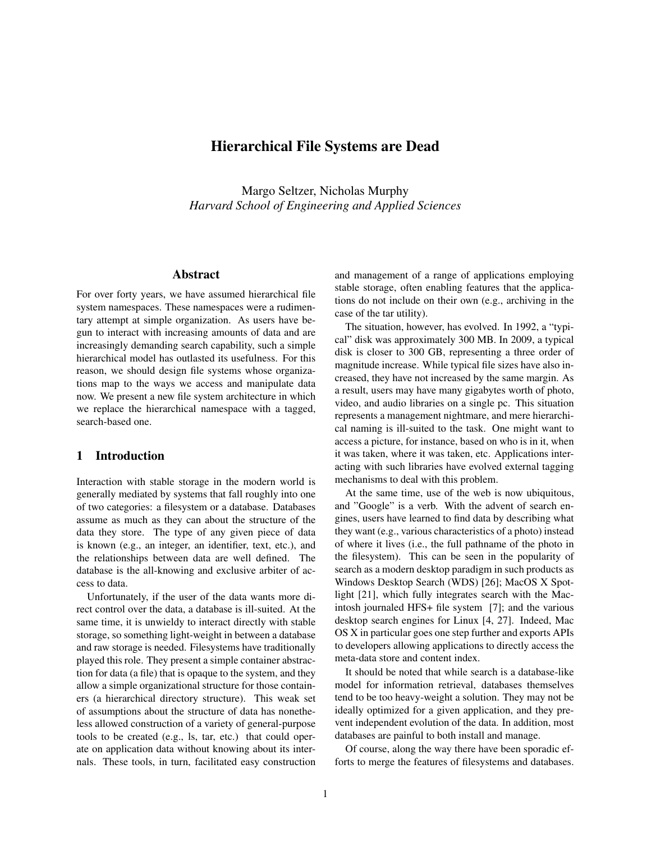# Hierarchical File Systems are Dead

Margo Seltzer, Nicholas Murphy *Harvard School of Engineering and Applied Sciences*

#### Abstract

For over forty years, we have assumed hierarchical file system namespaces. These namespaces were a rudimentary attempt at simple organization. As users have begun to interact with increasing amounts of data and are increasingly demanding search capability, such a simple hierarchical model has outlasted its usefulness. For this reason, we should design file systems whose organizations map to the ways we access and manipulate data now. We present a new file system architecture in which we replace the hierarchical namespace with a tagged, search-based one.

# 1 Introduction

Interaction with stable storage in the modern world is generally mediated by systems that fall roughly into one of two categories: a filesystem or a database. Databases assume as much as they can about the structure of the data they store. The type of any given piece of data is known (e.g., an integer, an identifier, text, etc.), and the relationships between data are well defined. The database is the all-knowing and exclusive arbiter of access to data.

Unfortunately, if the user of the data wants more direct control over the data, a database is ill-suited. At the same time, it is unwieldy to interact directly with stable storage, so something light-weight in between a database and raw storage is needed. Filesystems have traditionally played this role. They present a simple container abstraction for data (a file) that is opaque to the system, and they allow a simple organizational structure for those containers (a hierarchical directory structure). This weak set of assumptions about the structure of data has nonetheless allowed construction of a variety of general-purpose tools to be created (e.g., ls, tar, etc.) that could operate on application data without knowing about its internals. These tools, in turn, facilitated easy construction and management of a range of applications employing stable storage, often enabling features that the applications do not include on their own (e.g., archiving in the case of the tar utility).

The situation, however, has evolved. In 1992, a "typical" disk was approximately 300 MB. In 2009, a typical disk is closer to 300 GB, representing a three order of magnitude increase. While typical file sizes have also increased, they have not increased by the same margin. As a result, users may have many gigabytes worth of photo, video, and audio libraries on a single pc. This situation represents a management nightmare, and mere hierarchical naming is ill-suited to the task. One might want to access a picture, for instance, based on who is in it, when it was taken, where it was taken, etc. Applications interacting with such libraries have evolved external tagging mechanisms to deal with this problem.

At the same time, use of the web is now ubiquitous, and "Google" is a verb. With the advent of search engines, users have learned to find data by describing what they want (e.g., various characteristics of a photo) instead of where it lives (i.e., the full pathname of the photo in the filesystem). This can be seen in the popularity of search as a modern desktop paradigm in such products as Windows Desktop Search (WDS) [26]; MacOS X Spotlight [21], which fully integrates search with the Macintosh journaled HFS+ file system [7]; and the various desktop search engines for Linux [4, 27]. Indeed, Mac OS X in particular goes one step further and exports APIs to developers allowing applications to directly access the meta-data store and content index.

It should be noted that while search is a database-like model for information retrieval, databases themselves tend to be too heavy-weight a solution. They may not be ideally optimized for a given application, and they prevent independent evolution of the data. In addition, most databases are painful to both install and manage.

Of course, along the way there have been sporadic efforts to merge the features of filesystems and databases.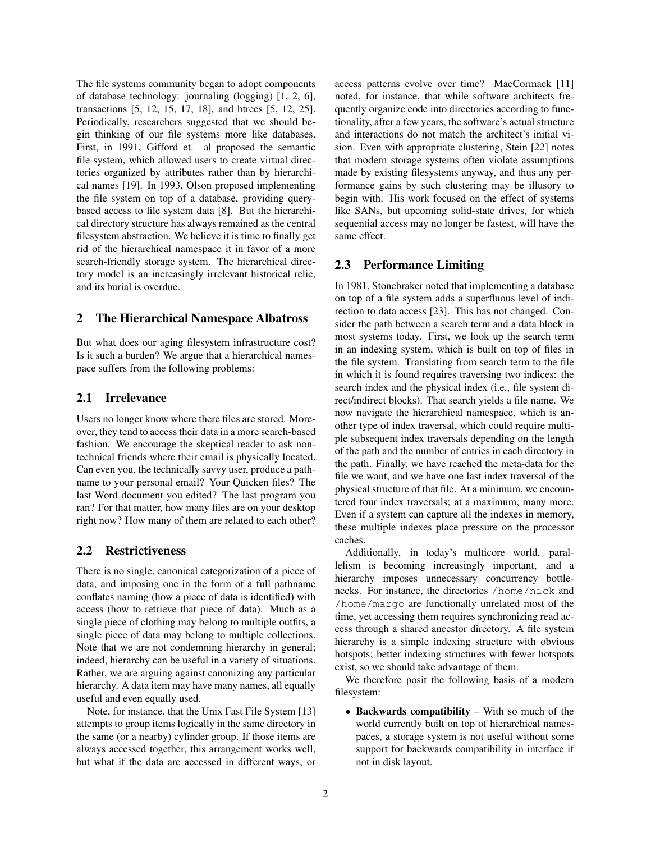The file systems community began to adopt components of database technology: journaling (logging) [1, 2, 6], transactions [5, 12, 15, 17, 18], and btrees [5, 12, 25]. Periodically, researchers suggested that we should begin thinking of our file systems more like databases. First, in 1991, Gifford et. al proposed the semantic file system, which allowed users to create virtual directories organized by attributes rather than by hierarchical names [19]. In 1993, Olson proposed implementing the file system on top of a database, providing querybased access to file system data [8]. But the hierarchical directory structure has always remained as the central filesystem abstraction. We believe it is time to finally get rid of the hierarchical namespace it in favor of a more search-friendly storage system. The hierarchical directory model is an increasingly irrelevant historical relic, and its burial is overdue.

#### 2 The Hierarchical Namespace Albatross

But what does our aging filesystem infrastructure cost? Is it such a burden? We argue that a hierarchical namespace suffers from the following problems:

#### 2.1 Irrelevance

Users no longer know where there files are stored. Moreover, they tend to access their data in a more search-based fashion. We encourage the skeptical reader to ask nontechnical friends where their email is physically located. Can even you, the technically savvy user, produce a pathname to your personal email? Your Quicken files? The last Word document you edited? The last program you ran? For that matter, how many files are on your desktop right now? How many of them are related to each other?

# 2.2 Restrictiveness

There is no single, canonical categorization of a piece of data, and imposing one in the form of a full pathname conflates naming (how a piece of data is identified) with access (how to retrieve that piece of data). Much as a single piece of clothing may belong to multiple outfits, a single piece of data may belong to multiple collections. Note that we are not condemning hierarchy in general; indeed, hierarchy can be useful in a variety of situations. Rather, we are arguing against canonizing any particular hierarchy. A data item may have many names, all equally useful and even equally used.

Note, for instance, that the Unix Fast File System [13] attempts to group items logically in the same directory in the same (or a nearby) cylinder group. If those items are always accessed together, this arrangement works well, but what if the data are accessed in different ways, or access patterns evolve over time? MacCormack [11] noted, for instance, that while software architects frequently organize code into directories according to functionality, after a few years, the software's actual structure and interactions do not match the architect's initial vision. Even with appropriate clustering, Stein [22] notes that modern storage systems often violate assumptions made by existing filesystems anyway, and thus any performance gains by such clustering may be illusory to begin with. His work focused on the effect of systems like SANs, but upcoming solid-state drives, for which sequential access may no longer be fastest, will have the same effect.

## 2.3 Performance Limiting

In 1981, Stonebraker noted that implementing a database on top of a file system adds a superfluous level of indirection to data access [23]. This has not changed. Consider the path between a search term and a data block in most systems today. First, we look up the search term in an indexing system, which is built on top of files in the file system. Translating from search term to the file in which it is found requires traversing two indices: the search index and the physical index (i.e., file system direct/indirect blocks). That search yields a file name. We now navigate the hierarchical namespace, which is another type of index traversal, which could require multiple subsequent index traversals depending on the length of the path and the number of entries in each directory in the path. Finally, we have reached the meta-data for the file we want, and we have one last index traversal of the physical structure of that file. At a minimum, we encountered four index traversals; at a maximum, many more. Even if a system can capture all the indexes in memory, these multiple indexes place pressure on the processor caches.

Additionally, in today's multicore world, parallelism is becoming increasingly important, and a hierarchy imposes unnecessary concurrency bottlenecks. For instance, the directories /home/nick and /home/margo are functionally unrelated most of the time, yet accessing them requires synchronizing read access through a shared ancestor directory. A file system hierarchy is a simple indexing structure with obvious hotspots; better indexing structures with fewer hotspots exist, so we should take advantage of them.

We therefore posit the following basis of a modern filesystem:

• Backwards compatibility – With so much of the world currently built on top of hierarchical namespaces, a storage system is not useful without some support for backwards compatibility in interface if not in disk layout.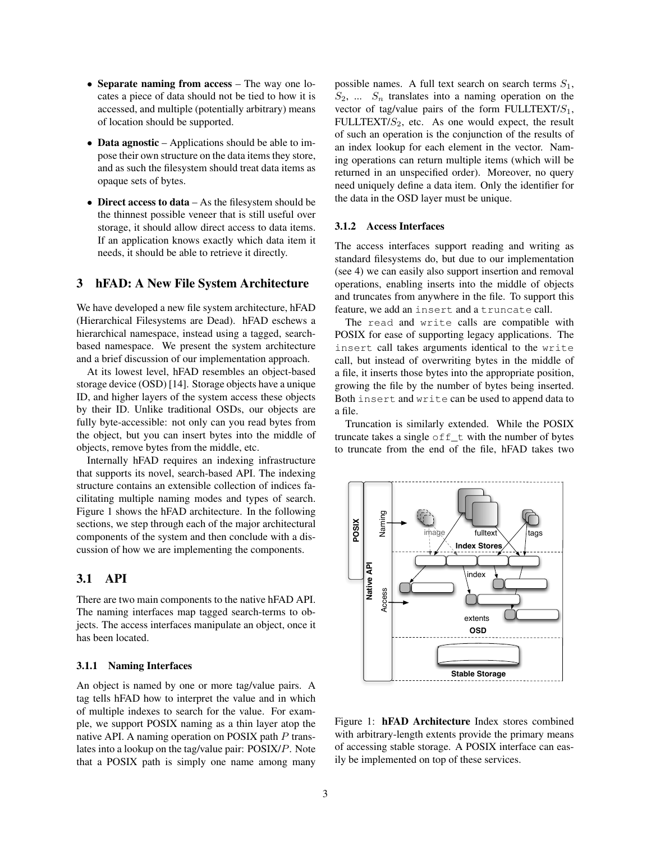- Separate naming from access The way one locates a piece of data should not be tied to how it is accessed, and multiple (potentially arbitrary) means of location should be supported.
- Data agnostic Applications should be able to impose their own structure on the data items they store, and as such the filesystem should treat data items as opaque sets of bytes.
- Direct access to data As the filesystem should be the thinnest possible veneer that is still useful over storage, it should allow direct access to data items. If an application knows exactly which data item it needs, it should be able to retrieve it directly.

#### 3 hFAD: A New File System Architecture

We have developed a new file system architecture, hFAD (Hierarchical Filesystems are Dead). hFAD eschews a hierarchical namespace, instead using a tagged, searchbased namespace. We present the system architecture and a brief discussion of our implementation approach.

At its lowest level, hFAD resembles an object-based storage device (OSD) [14]. Storage objects have a unique ID, and higher layers of the system access these objects by their ID. Unlike traditional OSDs, our objects are fully byte-accessible: not only can you read bytes from the object, but you can insert bytes into the middle of objects, remove bytes from the middle, etc.

Internally hFAD requires an indexing infrastructure that supports its novel, search-based API. The indexing structure contains an extensible collection of indices facilitating multiple naming modes and types of search. Figure 1 shows the hFAD architecture. In the following sections, we step through each of the major architectural components of the system and then conclude with a discussion of how we are implementing the components.

# 3.1 API

There are two main components to the native hFAD API. The naming interfaces map tagged search-terms to objects. The access interfaces manipulate an object, once it has been located.

### 3.1.1 Naming Interfaces

An object is named by one or more tag/value pairs. A tag tells hFAD how to interpret the value and in which of multiple indexes to search for the value. For example, we support POSIX naming as a thin layer atop the native API. A naming operation on POSIX path P translates into a lookup on the tag/value pair: POSIX/P. Note that a POSIX path is simply one name among many possible names. A full text search on search terms  $S_1$ ,  $S_2$ , ...  $S_n$  translates into a naming operation on the vector of tag/value pairs of the form FULLTEXT/ $S_1$ , FULLTEXT/ $S_2$ , etc. As one would expect, the result of such an operation is the conjunction of the results of an index lookup for each element in the vector. Naming operations can return multiple items (which will be returned in an unspecified order). Moreover, no query need uniquely define a data item. Only the identifier for the data in the OSD layer must be unique.

#### 3.1.2 Access Interfaces

The access interfaces support reading and writing as standard filesystems do, but due to our implementation (see 4) we can easily also support insertion and removal operations, enabling inserts into the middle of objects and truncates from anywhere in the file. To support this feature, we add an insert and a truncate call.

The read and write calls are compatible with POSIX for ease of supporting legacy applications. The insert call takes arguments identical to the write call, but instead of overwriting bytes in the middle of a file, it inserts those bytes into the appropriate position, growing the file by the number of bytes being inserted. Both insert and write can be used to append data to a file.

Truncation is similarly extended. While the POSIX truncate takes a single  $\circ$  f f\_t with the number of bytes to truncate from the end of the file, hFAD takes two



Figure 1: hFAD Architecture Index stores combined with arbitrary-length extents provide the primary means of accessing stable storage. A POSIX interface can easily be implemented on top of these services.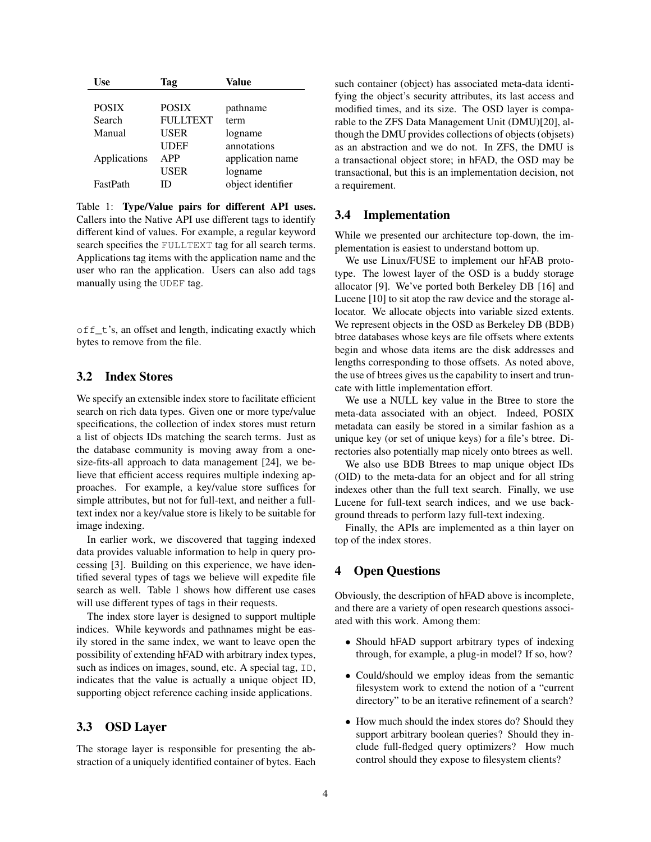| Use          | Tag             | Value             |
|--------------|-----------------|-------------------|
|              |                 |                   |
| <b>POSIX</b> | <b>POSIX</b>    | pathname          |
| Search       | <b>FULLTEXT</b> | term              |
| Manual       | <b>USER</b>     | logname           |
|              | <b>UDEF</b>     | annotations       |
| Applications | APP             | application name  |
|              | <b>USER</b>     | logname           |
| FastPath     | נ וו            | object identifier |
|              |                 |                   |

Table 1: Type/Value pairs for different API uses. Callers into the Native API use different tags to identify different kind of values. For example, a regular keyword search specifies the FULLTEXT tag for all search terms. Applications tag items with the application name and the user who ran the application. Users can also add tags manually using the UDEF tag.

off\_t's, an offset and length, indicating exactly which bytes to remove from the file.

#### 3.2 Index Stores

We specify an extensible index store to facilitate efficient search on rich data types. Given one or more type/value specifications, the collection of index stores must return a list of objects IDs matching the search terms. Just as the database community is moving away from a onesize-fits-all approach to data management [24], we believe that efficient access requires multiple indexing approaches. For example, a key/value store suffices for simple attributes, but not for full-text, and neither a fulltext index nor a key/value store is likely to be suitable for image indexing.

In earlier work, we discovered that tagging indexed data provides valuable information to help in query processing [3]. Building on this experience, we have identified several types of tags we believe will expedite file search as well. Table 1 shows how different use cases will use different types of tags in their requests.

The index store layer is designed to support multiple indices. While keywords and pathnames might be easily stored in the same index, we want to leave open the possibility of extending hFAD with arbitrary index types, such as indices on images, sound, etc. A special tag,  $ID$ , indicates that the value is actually a unique object ID, supporting object reference caching inside applications.

#### 3.3 OSD Layer

The storage layer is responsible for presenting the abstraction of a uniquely identified container of bytes. Each such container (object) has associated meta-data identifying the object's security attributes, its last access and modified times, and its size. The OSD layer is comparable to the ZFS Data Management Unit (DMU)[20], although the DMU provides collections of objects (objsets) as an abstraction and we do not. In ZFS, the DMU is a transactional object store; in hFAD, the OSD may be transactional, but this is an implementation decision, not a requirement.

#### 3.4 Implementation

While we presented our architecture top-down, the implementation is easiest to understand bottom up.

We use Linux/FUSE to implement our hFAB prototype. The lowest layer of the OSD is a buddy storage allocator [9]. We've ported both Berkeley DB [16] and Lucene [10] to sit atop the raw device and the storage allocator. We allocate objects into variable sized extents. We represent objects in the OSD as Berkeley DB (BDB) btree databases whose keys are file offsets where extents begin and whose data items are the disk addresses and lengths corresponding to those offsets. As noted above, the use of btrees gives us the capability to insert and truncate with little implementation effort.

We use a NULL key value in the Btree to store the meta-data associated with an object. Indeed, POSIX metadata can easily be stored in a similar fashion as a unique key (or set of unique keys) for a file's btree. Directories also potentially map nicely onto btrees as well.

We also use BDB Btrees to map unique object IDs (OID) to the meta-data for an object and for all string indexes other than the full text search. Finally, we use Lucene for full-text search indices, and we use background threads to perform lazy full-text indexing.

Finally, the APIs are implemented as a thin layer on top of the index stores.

### 4 Open Questions

Obviously, the description of hFAD above is incomplete, and there are a variety of open research questions associated with this work. Among them:

- Should hFAD support arbitrary types of indexing through, for example, a plug-in model? If so, how?
- Could/should we employ ideas from the semantic filesystem work to extend the notion of a "current directory" to be an iterative refinement of a search?
- How much should the index stores do? Should they support arbitrary boolean queries? Should they include full-fledged query optimizers? How much control should they expose to filesystem clients?